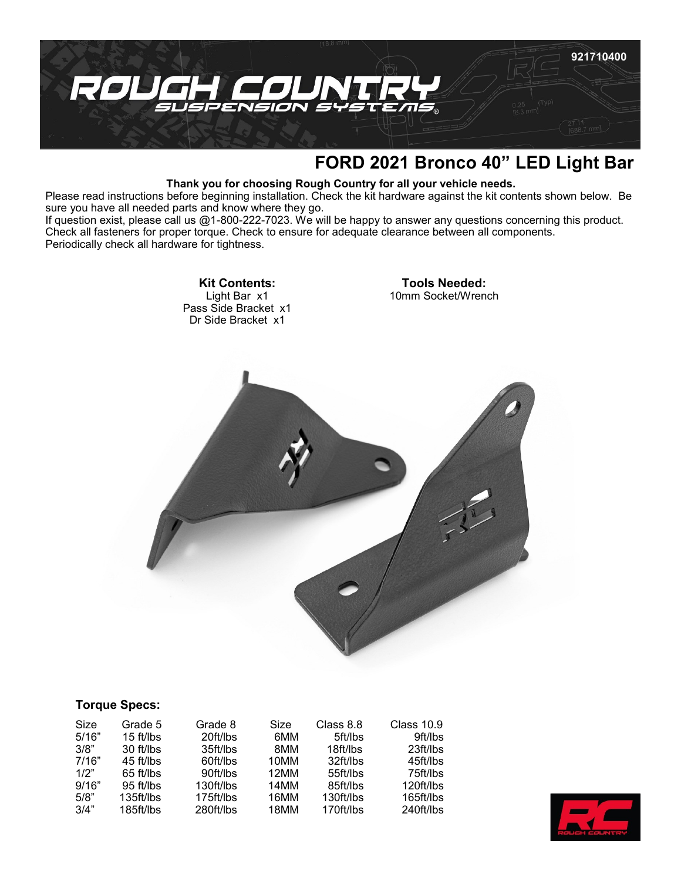

## **FORD 2021 Bronco 40" LED Light Bar**

## **Thank you for choosing Rough Country for all your vehicle needs.**

Please read instructions before beginning installation. Check the kit hardware against the kit contents shown below. Be sure you have all needed parts and know where they go.

If question exist, please call us @1-800-222-7023. We will be happy to answer any questions concerning this product. Check all fasteners for proper torque. Check to ensure for adequate clearance between all components. Periodically check all hardware for tightness.

> **Kit Contents:** Light Bar x1 Pass Side Bracket x1 Dr Side Bracket x1

**Tools Needed:** 10mm Socket/Wrench



## **Torque Specs:**

| Size  | Grade 5   | Grade 8   | Size | Class 8.8 | <b>Class 10.9</b> |
|-------|-----------|-----------|------|-----------|-------------------|
| 5/16" | 15 ft/lbs | 20ft/lbs  | 6MM  | 5ft/lbs   | 9ft/lbs           |
| 3/8"  | 30 ft/lbs | 35ft/lbs  | 8MM  | 18ft/lbs  | 23ft/lbs          |
| 7/16" | 45 ft/lbs | 60ft/lbs  | 10MM | 32ft/lbs  | 45ft/lbs          |
| 1/2"  | 65 ft/lbs | 90ft/lbs  | 12MM | 55ft/lbs  | 75ft/lbs          |
| 9/16" | 95 ft/lbs | 130ft/lbs | 14MM | 85ft/lbs  | 120ft/lbs         |
| 5/8"  | 135ft/lbs | 175ft/lbs | 16MM | 130ft/lbs | 165ft/lbs         |
| 3/4"  | 185ft/lbs | 280ft/lbs | 18MM | 170ft/lbs | 240ft/lbs         |